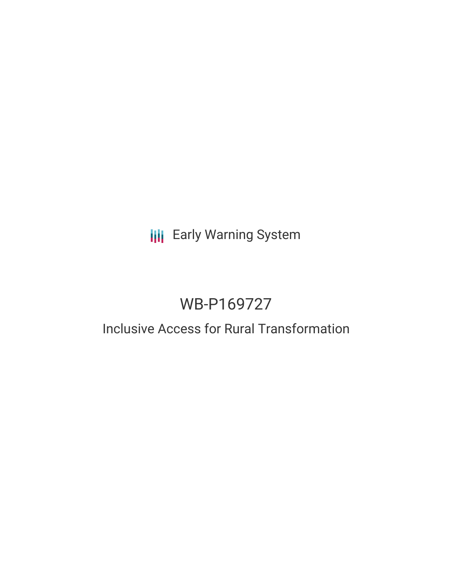# **III** Early Warning System

# WB-P169727

# Inclusive Access for Rural Transformation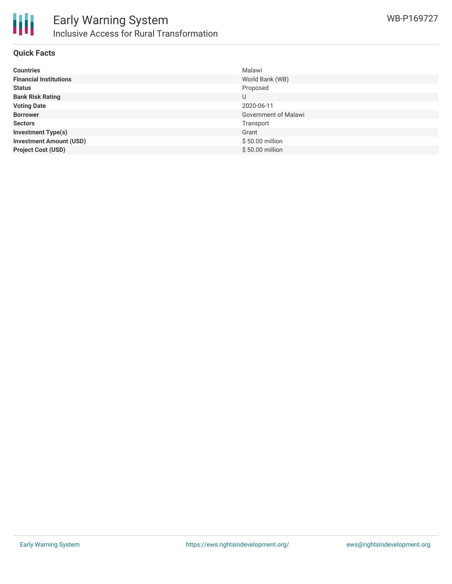

### **Quick Facts**

| <b>Countries</b>               | Malawi               |
|--------------------------------|----------------------|
| <b>Financial Institutions</b>  | World Bank (WB)      |
| <b>Status</b>                  | Proposed             |
| <b>Bank Risk Rating</b>        | U                    |
| <b>Voting Date</b>             | 2020-06-11           |
| <b>Borrower</b>                | Government of Malawi |
| <b>Sectors</b>                 | Transport            |
| <b>Investment Type(s)</b>      | Grant                |
| <b>Investment Amount (USD)</b> | \$50.00 million      |
| <b>Project Cost (USD)</b>      | \$50.00 million      |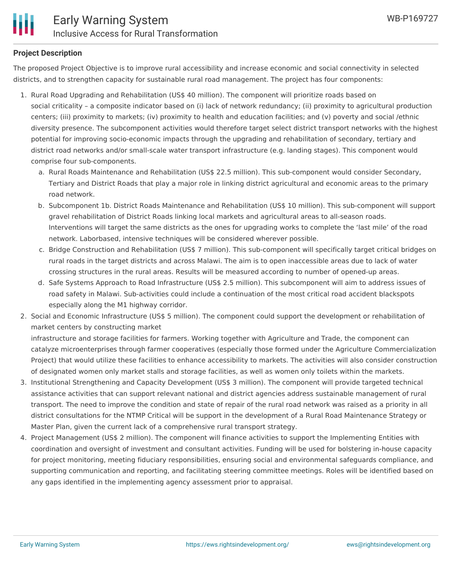# **Project Description**

The proposed Project Objective is to improve rural accessibility and increase economic and social connectivity in selected districts, and to strengthen capacity for sustainable rural road management. The project has four components:

- 1. Rural Road Upgrading and Rehabilitation (US\$ 40 million). The component will prioritize roads based on social criticality – a composite indicator based on (i) lack of network redundancy; (ii) proximity to agricultural production centers; (iii) proximity to markets; (iv) proximity to health and education facilities; and (v) poverty and social /ethnic diversity presence. The subcomponent activities would therefore target select district transport networks with the highest potential for improving socio-economic impacts through the upgrading and rehabilitation of secondary, tertiary and district road networks and/or small-scale water transport infrastructure (e.g. landing stages). This component would comprise four sub-components.
	- a. Rural Roads Maintenance and Rehabilitation (US\$ 22.5 million). This sub-component would consider Secondary, Tertiary and District Roads that play a major role in linking district agricultural and economic areas to the primary road network.
	- b. Subcomponent 1b. District Roads Maintenance and Rehabilitation (US\$ 10 million). This sub-component will support gravel rehabilitation of District Roads linking local markets and agricultural areas to all-season roads. Interventions will target the same districts as the ones for upgrading works to complete the 'last mile' of the road network. Laborbased, intensive techniques will be considered wherever possible.
	- c. Bridge Construction and Rehabilitation (US\$ 7 million). This sub-component will specifically target critical bridges on rural roads in the target districts and across Malawi. The aim is to open inaccessible areas due to lack of water crossing structures in the rural areas. Results will be measured according to number of opened-up areas.
	- d. Safe Systems Approach to Road Infrastructure (US\$ 2.5 million). This subcomponent will aim to address issues of road safety in Malawi. Sub-activities could include a continuation of the most critical road accident blackspots especially along the M1 highway corridor.
- 2. Social and Economic Infrastructure (US\$ 5 million). The component could support the development or rehabilitation of market centers by constructing market

infrastructure and storage facilities for farmers. Working together with Agriculture and Trade, the component can catalyze microenterprises through farmer cooperatives (especially those formed under the Agriculture Commercialization Project) that would utilize these facilities to enhance accessibility to markets. The activities will also consider construction of designated women only market stalls and storage facilities, as well as women only toilets within the markets.

- 3. Institutional Strengthening and Capacity Development (US\$ 3 million). The component will provide targeted technical assistance activities that can support relevant national and district agencies address sustainable management of rural transport. The need to improve the condition and state of repair of the rural road network was raised as a priority in all district consultations for the NTMP Critical will be support in the development of a Rural Road Maintenance Strategy or Master Plan, given the current lack of a comprehensive rural transport strategy.
- 4. Project Management (US\$ 2 million). The component will finance activities to support the Implementing Entities with coordination and oversight of investment and consultant activities. Funding will be used for bolstering in-house capacity for project monitoring, meeting fiduciary responsibilities, ensuring social and environmental safeguards compliance, and supporting communication and reporting, and facilitating steering committee meetings. Roles will be identified based on any gaps identified in the implementing agency assessment prior to appraisal.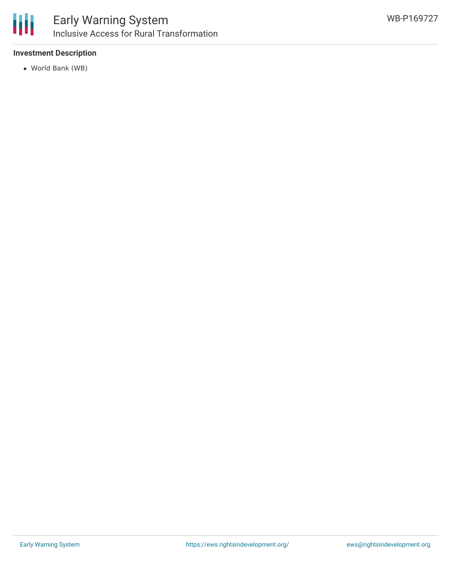

# **Investment Description**

World Bank (WB)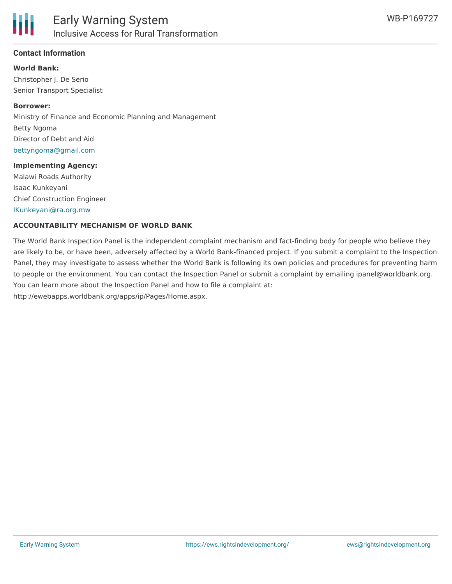

# **Contact Information**

**World Bank:** Christopher J. De Serio Senior Transport Specialist

#### **Borrower:**

Ministry of Finance and Economic Planning and Management Betty Ngoma Director of Debt and Aid [bettyngoma@gmail.com](mailto:bettyngoma@gmail.com)

#### **Implementing Agency:**

Malawi Roads Authority Isaac Kunkeyani Chief Construction Engineer [IKunkeyani@ra.org.mw](mailto:IKunkeyani@ra.org.mw)

### **ACCOUNTABILITY MECHANISM OF WORLD BANK**

The World Bank Inspection Panel is the independent complaint mechanism and fact-finding body for people who believe they are likely to be, or have been, adversely affected by a World Bank-financed project. If you submit a complaint to the Inspection Panel, they may investigate to assess whether the World Bank is following its own policies and procedures for preventing harm to people or the environment. You can contact the Inspection Panel or submit a complaint by emailing ipanel@worldbank.org. You can learn more about the Inspection Panel and how to file a complaint at: http://ewebapps.worldbank.org/apps/ip/Pages/Home.aspx.